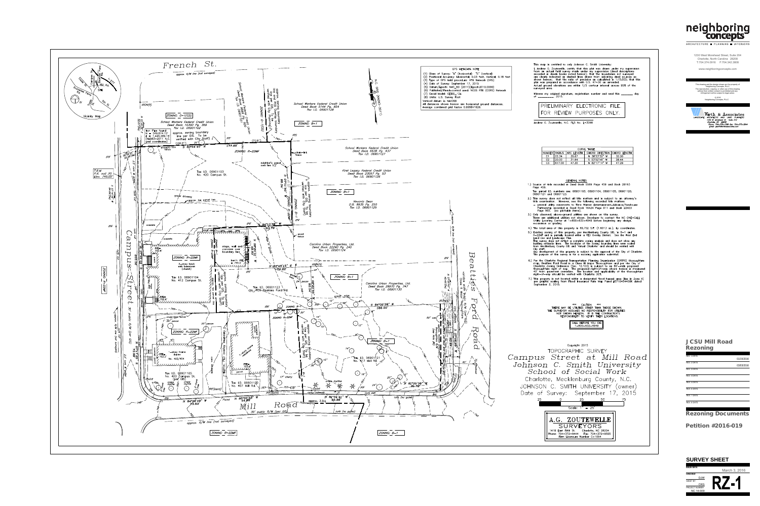







### Copyright 2015 TOPOGRAPHIC SURVEY

Campus Street at Mill Road Johnson C. Smith University School of Social Work Charlotte, Mecklenburg County, N.C. JOHNSON C. SMITH UNIVERSITY (owner) Date of Survey: September 17, 2015 25  $\cap$ 25 - 50 Scale:  $1" = 25'$ A.G. ZOUTEWELLE SURVEYORS 1418 East Fifth St. Charlotte, NC 28204 Phone: 704-372-9444 Fax: 704-372-9555 Firm Licensure Number C-1054

### 1230 West Morehead Street, Suite 204 Charlotte, North Carolina 28208 T:704.374.0916 F:704.342.3808

## JCSU Mill Road Rezoning



| ARUMILLUNE<br><b>PLANNING</b><br>INIERIURS                                                                                                                      |
|-----------------------------------------------------------------------------------------------------------------------------------------------------------------|
| 1230 West Morehead Street, Suite 204                                                                                                                            |
| Charlotte, North Carolina 28208<br>T:704.374.0916 F:704.342.3808                                                                                                |
| www.neighboringconcepts.com                                                                                                                                     |
|                                                                                                                                                                 |
| This drawing and the design shown are the property of<br>Neighboring Concepts, PLLC                                                                             |
| The reproduction, copying, or other use of this drawing<br>without their written consent is prohibited and any<br>infringement will be subject to legal action. |
| C 2016<br>Neighboring Concepts, PLLC                                                                                                                            |
|                                                                                                                                                                 |
| Wirth & <i>f</i><br>ssociates<br>LAND PLANNERS                                                                                                                  |
| ARCHITECTS<br>LANDSCAPE<br>AND<br>Suite 212<br>1230 W. Morehead St.<br>Charlotte, NC 28208                                                                      |
| Phone: 704-375-1588 Fax: 704-375-3844<br>Email: gwirth@wirthassociates.com                                                                                      |
|                                                                                                                                                                 |
|                                                                                                                                                                 |
|                                                                                                                                                                 |
|                                                                                                                                                                 |
|                                                                                                                                                                 |
|                                                                                                                                                                 |
|                                                                                                                                                                 |
|                                                                                                                                                                 |
|                                                                                                                                                                 |
|                                                                                                                                                                 |
|                                                                                                                                                                 |
|                                                                                                                                                                 |
|                                                                                                                                                                 |
|                                                                                                                                                                 |
|                                                                                                                                                                 |
|                                                                                                                                                                 |
|                                                                                                                                                                 |
|                                                                                                                                                                 |
|                                                                                                                                                                 |
|                                                                                                                                                                 |
|                                                                                                                                                                 |
|                                                                                                                                                                 |
|                                                                                                                                                                 |
|                                                                                                                                                                 |
|                                                                                                                                                                 |
|                                                                                                                                                                 |
|                                                                                                                                                                 |
|                                                                                                                                                                 |
|                                                                                                                                                                 |
| <b>JCSU Mill Road</b>                                                                                                                                           |
| Rezoning                                                                                                                                                        |
| <b>REV. 1 DATE</b>                                                                                                                                              |
| 01/15/2016<br><b>REV. 2 DATE</b>                                                                                                                                |
| 03/03/2016<br><b>REV. 3 DATE</b>                                                                                                                                |
| <b>REV. 4 DATE</b>                                                                                                                                              |
| <b>REV. 5 DATE</b>                                                                                                                                              |
| <b>REV. 6 DATE</b>                                                                                                                                              |
| <b>REV. 7 DATE</b>                                                                                                                                              |
| <b>REV. 8 DATE</b>                                                                                                                                              |
|                                                                                                                                                                 |
| <b>Rezoning Documents</b>                                                                                                                                       |
| Petition #2016-019                                                                                                                                              |
|                                                                                                                                                                 |
|                                                                                                                                                                 |
|                                                                                                                                                                 |
|                                                                                                                                                                 |
| <b>SURVEY SHEET</b>                                                                                                                                             |
| <b>ISSUE DATE</b>                                                                                                                                               |
| March 3, 2016<br><b>CHECKED</b>                                                                                                                                 |
| DJW<br><b>SHEET BY</b><br>$\prime$ / $\prime$                                                                                                                   |
| CKG<br>PROJECT NUMBER<br><b>NC 14-009</b>                                                                                                                       |

# **SURVEY SHEET**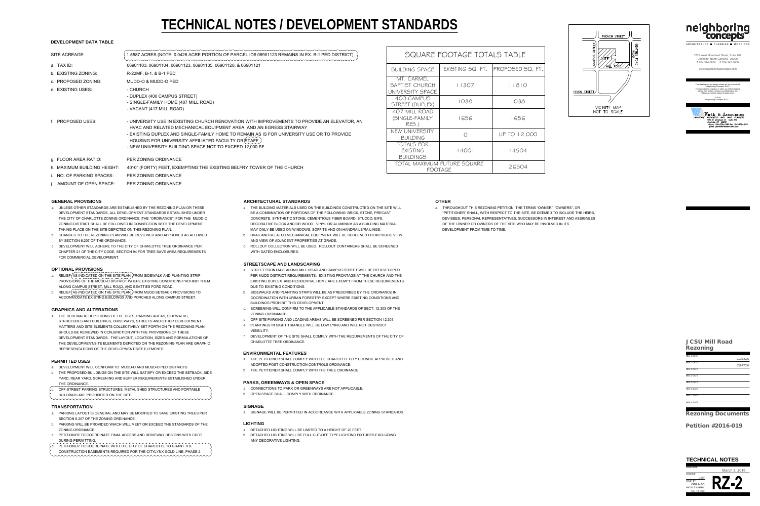

| ARUMILLUIURE<br><b>FLANNING</b>                                                                                                                                 | <b>INIERIURS</b>     |
|-----------------------------------------------------------------------------------------------------------------------------------------------------------------|----------------------|
| 1230 West Morehead Street, Suite 204                                                                                                                            |                      |
| Charlotte, North Carolina 28208<br>T:704.374.0916 F:704.342.3808                                                                                                |                      |
| www.neighboringconcepts.com                                                                                                                                     |                      |
|                                                                                                                                                                 |                      |
| This drawing and the design shown are the property of<br>Neighboring Concepts, PLLC                                                                             |                      |
| The reproduction, copying, or other use of this drawing<br>without their written consent is prohibited and any<br>infringement will be subject to legal action. |                      |
| C 2016<br>Neighboring Concepts, PLLC                                                                                                                            |                      |
|                                                                                                                                                                 |                      |
| rth & .<br>ssociates<br><b>ARCHITECTS</b><br>LANDSCAPE<br>AND                                                                                                   | <b>LAND PLANNERS</b> |
| 1230 W. Morehead St.<br>Suite 212<br>Charlotte, NC 28208<br>Phone: 704-375-1588 Fax: 704-375-3844                                                               |                      |
| Email: gwirth@wirthassociates.com                                                                                                                               |                      |
|                                                                                                                                                                 |                      |
|                                                                                                                                                                 |                      |
|                                                                                                                                                                 |                      |
|                                                                                                                                                                 |                      |
|                                                                                                                                                                 |                      |
|                                                                                                                                                                 |                      |
|                                                                                                                                                                 |                      |
|                                                                                                                                                                 |                      |
|                                                                                                                                                                 |                      |
|                                                                                                                                                                 |                      |
|                                                                                                                                                                 |                      |
|                                                                                                                                                                 |                      |
|                                                                                                                                                                 |                      |
|                                                                                                                                                                 |                      |
|                                                                                                                                                                 |                      |
|                                                                                                                                                                 |                      |
|                                                                                                                                                                 |                      |
|                                                                                                                                                                 |                      |
|                                                                                                                                                                 |                      |
|                                                                                                                                                                 |                      |
|                                                                                                                                                                 |                      |
|                                                                                                                                                                 |                      |
|                                                                                                                                                                 |                      |
|                                                                                                                                                                 |                      |
|                                                                                                                                                                 |                      |
|                                                                                                                                                                 |                      |
|                                                                                                                                                                 |                      |
|                                                                                                                                                                 |                      |
|                                                                                                                                                                 |                      |
| <b>JCSU Mill Road</b>                                                                                                                                           |                      |
| Rezoning                                                                                                                                                        |                      |
| <b>REV. 1 DATE</b>                                                                                                                                              | 01/15/2016           |
| <b>REV. 2 DATE</b>                                                                                                                                              | 03/03/2016           |
| <b>REV. 3 DATE</b>                                                                                                                                              |                      |
| <b>REV. 4 DATE</b>                                                                                                                                              |                      |
| <b>REV. 5 DATE</b><br><b>REV. 6 DATE</b>                                                                                                                        |                      |
| <b>REV. 7 DATE</b>                                                                                                                                              |                      |
| <b>REV. 8 DATE</b>                                                                                                                                              |                      |
|                                                                                                                                                                 |                      |
| <b>Rezoning Documents</b>                                                                                                                                       |                      |
|                                                                                                                                                                 |                      |
| Petition #2016-019                                                                                                                                              |                      |
|                                                                                                                                                                 |                      |
|                                                                                                                                                                 |                      |
|                                                                                                                                                                 |                      |
|                                                                                                                                                                 |                      |
|                                                                                                                                                                 |                      |
| <b>TECHNICAL NOTES</b>                                                                                                                                          |                      |
| <b>ISSUE DATE</b><br>March 3, 2016                                                                                                                              |                      |
| <b>CHECKED</b><br>IW<br><b>SHEET BY</b>                                                                                                                         |                      |

- 
- 
- 
- 

- -
	-
	-
- -
- 
- 
- 
- 
- 

- 
- 
- 

- 
- 

- 
- 
- 
- 

- 
- 
- 
- 
- 

- 
- 
- 
- 
- 
- 
- 

- 
- 
- 
- 
- 
- 
- 
- 
- 
- 
- 

- 
- 
- 

- -

| SQUARE FOOTAGE TOTALS TABLE<br>1.5587 ACRES (NOTE: 0.0426 ACRE PORTION OF PARCEL ID# 06901123 REMAINS IN EX. B-1 PED DISTRICT)<br>1230 West Morehead Street, Suite 204<br>Charlotte, North Carolina <sup>2</sup> 28208<br>T:704.374.0916 F:704.342.3808<br>a. TAX ID:<br>06901103, 06901104, 06901123, 06901105, 06901120, & 06901121<br>PROPOSED SQ. FT<br><b>BUILDING SPACE</b><br>EXISTING SQ. FT.<br>www.neighboringconcepts.com<br>b. EXISTING ZONING:<br>R-22MF, B-1, & B-1 PED<br>MT. CARMEL<br>c. PROPOSED ZONING:<br>MUDD-O & MUDD-O PED<br>11307<br><b>BAPTIST CHURCH</b><br>11810<br>This drawing and the design shown are the property o<br>Neighboring Concepts, PLLC<br>d. EXISTING USES:<br>- CHURCH<br>ne reproduction, copying, or other use of this drawi<br>UNIVERSITY SPACE<br>without their written consent is prohibited and any<br>DIXON STREET<br>infringement will be subject to legal action.<br>- DUPLEX (400 CAMPUS STREET)<br>400 CAMPUS<br>© 2016<br>Neighboring Concepts, PLLC<br>1038<br>1038<br>- SINGLE-FAMILY HOME (407 MILL ROAD)<br>STREET (DUPLEX)<br>VICINITY MAP<br>- VACANT (417 MILL ROAD)<br>NOT TO SCALE<br>407 MILL ROAD<br>Wirth & Associates<br>(SINGLE-FAMILY<br>1656<br>1656<br><b>PROPOSED USES:</b><br>- UNIVERSITY USE IN EXISTING CHURCH RENOVATION WITH IMPROVEMENTS TO PROVIDE AN ELEVATOR, AN<br>RES.)<br>HVAC AND RELATED MECHANICAL EQUIPMENT AREA, AND AN EGRESS STAIRWAY<br>NEW UNIVERSITY<br>UP TO 12,000<br>- EXISTING DUPLEX AND SINGLE-FAMILY HOME TO REMAIN AS IS FOR UNIVERSITY USE OR TO PROVIDE<br><b>BUILDING</b><br>HOUSING FOR UNIVERSITY AFFILIATED FACULTY OR STAFF<br>TOTALS FOR<br>- NEW UNIVERSITY BUILDING SPACE NOT TO EXCEED 12,000 SF<br>14504<br> 400 <br><b>EXISTING</b><br><b>BUILDINGS</b><br>PER ZONING ORDINANCE<br>g. FLOOR AREA RATIO:<br>TOTAL MAXIMUM FUTURE SQUARE<br>26504<br>40'-0" (FORTY) FEET, EXEMPTING THE EXISTING BELFRY TOWER OF THE CHURCH<br>h. MAXIMUM BUILDING HEIGHT:<br>FOOTAGE<br>NO. OF PARKING SPACES:<br>PER ZONING ORDINANCE<br>AMOUNT OF OPEN SPACE:<br>PER ZONING ORDINANCE<br><b>OTHER</b><br><b>ARCHITECTURAL STANDARDS</b><br><b>GENERAL PROVISIONS</b><br>UNLESS OTHER STANDARDS ARE ESTABLISHED BY THE REZONING PLAN OR THESE<br>THE BUILDING MATERIALS USED ON THE BUILDINGS CONSTRUCTED ON THE SITE WILL<br>THROUGHOUT THIS REZONING PETITION, THE TERMS "OWNER", "OWNERS", OR<br>DEVELOPMENT STANDARDS, ALL DEVELOPMENT STANDARDS ESTABLISHED UNDER<br>BE A COMBINATION OF PORTIONS OF THE FOLLOWING: BRICK, STONE, PRECAST<br>"PETITIONER" SHALL, WITH RESPECT TO THE SITE, BE DEEMED TO INCLUDE THE HEIRS,<br>THE CITY OF CHARLOTTE ZONING ORDINANCE (THE "ORDINANCE") FOR THE MUDD-O<br>CONCRETE, SYNTHETIC STONE, CEMENTIOUS FIBER BOARD, STUCCO, EIFS,<br>DEVISEES, PERSONAL REPRESENTATIVES, SUCCESSORS IN INTEREST AND ASSIGNEES<br>ZONING DISTRICT SHALL BE FOLLOWED IN CONNECTION WITH THE DEVELOPMENT<br>DECORATIVE BLOCK AND/OR WOOD. VINYL OR ALUMINUM AS A BUILDING MATERIAL<br>OF THE OWNER OR OWNERS OF THE SITE WHO MAY BE INVOLVED IN ITS<br>TAKING PLACE ON THE SITE DEPICTED ON THIS REZONING PLAN.<br>MAY ONLY BE USED ON WINDOWS, SOFFITS AND ON HANDRAILS/RAILINGS<br>DEVELOPMENT FROM TIME TO TIME<br>CHANGES TO THE REZONING PLAN WILL BE REVIEWED AND APPROVED AS ALLOWED<br>b. HVAC AND RELATED MECHANICAL EQUIPMENT WILL BE SCREENED FROM PUBLIC VIEW<br>BY SECTION 6.207 OF THE ORDINANCE.<br>AND VIEW OF ADJACENT PROPERTIES AT GRADE.<br>c. ROLLOUT COLLECTION WILL BE USED. ROLLOUT CONTAINERS SHALL BE SCREENED<br>c. DEVELOPMENT WILL ADHERE TO THE CITY OF CHARLOTTE TREE ORDINANCE PER<br>CHAPTER 21 OF THE CITY CODE, SECTION 94 FOR TREE SAVE AREA REQUIREMENTS<br>WITH GATED ENCLOSURES.<br>FOR COMMERCIAL DEVELOPMENT.<br><b>STREETSCAPE AND LANDSCAPING</b><br><b>OPTIONAL PROVISIONS</b><br>STREET FRONTAGE ALONG MILL ROAD AND CAMPUS STREET WILL BE REDEVELOPED<br>RELIEF AS INDICATED ON THE SITE PLAN, FROM SIDEWALK AND PLANTING STRIP<br>PER MUDD DISTRICT REQUIREMENTS. EXISTING FRONTAGE AT THE CHURCH AND THE<br>PROVISIONS OF THE MUDD-O DISTRICT WHERE EXISTING CONDITIONS PROHIBIT THEM<br>EXISTING DUPLEX AND RESIDENTIAL HOME ARE EXEMPT FROM THESE REQUIREMENTS<br>ALONG CAMPUS STREET, MILL ROAD, AND BEATTIES FORD ROAD.<br>DUE TO EXISTING CONDITIONS.<br>RELIEF $\{ {\sf AS} \; {\sf INDICATED} \; {\sf ON} \; {\sf THE} \; {\sf SITE} \; {\sf PLAN},$ FROM MUDD SETBACK PROVISIONS TO<br>b. SIDEWALKS AND PLANTING STRIPS WILL BE AS PRESCRIBED BY THE ORDINANCE IN<br>ACCOMMODATE EXISTING BUILDINGS AND PORCHES ALONG CAMPUS STREET.<br>COORDINATION WITH URBAN FORESTRY EXCEPT WHERE EXISTING CONDITIONS AND<br><b>BUILDINGS PROHIBIT THIS DEVELOPMENT</b><br>SCREENING WILL CONFIRM TO THE APPLICABLE STANDARDS OF SECT. 12.303 OF THE<br><b>GRAPHICS AND ALTERATIONS</b><br>ZONING ORDINANCE.<br>THE SCHEMATIC DEPICTIONS OF THE USES, PARKING AREAS, SIDEWALKS,<br>OFF-SITE PARKING AND LOADING AREAS WILL BE SCREENED PER SECTION 12.303<br>STRUCTURES AND BUILDINGS, DRIVEWAYS, STREETS AND OTHER DEVELOPMENT<br>e. PLANTINGS IN SIGHT TRIANGLE WILL BE LOW LYING AND WILL NOT OBSTRUCT<br>MATTERS AND SITE ELEMENTS COLLECTIVELY SET FORTH ON THE REZONING PLAN<br><b>VISIBILITY.</b><br>SHOULD BE REVIEWED IN CONJUNCTION WITH THE PROVISIONS OF THESE<br>DEVELOPMENT OF THE SITE SHALL COMPLY WITH THE REQUIREMENTS OF THE CITY OF<br>DEVELOPMENT STANDARDS. THE LAYOUT, LOCATION, SIZES AND FORMULATIONS OF<br><b>JCSU Mill Road</b><br><b>CHARLOTTE TREE ORDINANCE.</b><br>THE DEVELOPMENT/SITE ELEMENTS DEPICTED ON THE REZONING PLAN ARE GRAPHIC<br>Rezoning<br>REPRESENTATIONS OF THE DEVELOPMENT/SITE ELEMENTS.<br><b>ENVIRONMENTAL FEATURES</b><br>REV. 1 DATE<br>THE PETITIONER SHALL COMPLY WITH THE CHARLOTTE CITY COUNCIL APPROVED AND<br>01/15/2016<br><b>PERMITTED USES</b><br>REV. 2 DATE<br>ADOPTED POST CONSTRUCTION CONTROLS ORDINANCE.<br>03/03/2016<br>DEVELOPMENT WILL CONFORM TO MUDD-O AND MUDD-O PED DISTRICTS.<br>REV. 3 DATE<br>THE PETITIONER SHALL COMPLY WITH THE TREE ORDINANCE.<br>THE PROPOSED BUILDINGS ON THE SITE WILL SATISFY OR EXCEED THE SETBACK, SIDE<br>REV. 4 DATE<br>YARD, REAR YARD, SCREENING AND BUFFER REQUIREMENTS ESTABLISHED UNDER<br>REV. 5 DATE<br><b>PARKS, GREENWAYS &amp; OPEN SPACE</b><br>THE ORDINANCE.<br>~~~~~~~~~~~~~~~~~~~~~~~~~~~~~~<br>a. CONNECTIONS TO PARK OR GREENWAYS ARE NOT APPLICABLE.<br>OFF-STREET PARKING STRUCTURES, METAL SHED STRUCTURES AND PORTABLE<br>REV. 6 DATI<br>b. OPEN SPACE SHALL COMPLY WITH ORDINANCE.<br>BUILDINGS ARE PROHIBITED ON THE SITE.<br>REV. 7 DATI<br>REV. 8 DATI<br><b>SIGNAGE</b><br><b>TRANSPORTATION</b><br>SIGNAGE WILL BE PERMITTED IN ACCORDANCE WITH APPLICABLE ZONING STANDARDS<br>PARKING LAYOUT IS GENERAL AND MAY BE MODIFIED TO SAVE EXISTING TREES PER<br><b>Rezoning Documents</b><br>SECTION 6.207 OF THE ZONING ORDINANCE.<br><b>LIGHTING</b><br>PARKING WILL BE PROVIDED WHICH WILL MEET OR EXCEED THE STANDARDS OF THE<br>Petition #2016-019<br><b>ZONING ORDINANCE.</b><br>a. DETACHED LIGHTING WILL BE LIMITED TO A HEIGHT OF 20 FEET.<br>PETITIONER TO COORDINATE FINAL ACCESS AND DRIVEWAY DESIGNS WITH CDOT<br>b. DETACHED LIGHTING WILL BE FULL CUT-OFF TYPE LIGHTING FIXTURES EXCLUDING<br>ANY DECORATIVE LIGHTING.<br><b>DURING PERMITTING.</b><br>PETITIONER TO COORDINATE WITH THE CITY OF CHARLOTTE TO GRANT THE<br>CONSTRUCTION EASEMENTS REQUIRED FOR THE CITYLYNX GOLD LINE, PHASE 2.<br><b>TECHNICAL NOTES</b><br><b>ISSUE DATE</b><br>March 3, 2016<br><b>CHECKED</b><br><b>SHEET BY</b><br>PROJECT NUMBER<br>NC 14-009 |                      |  |  |  |  |  | ARCHITECTURE PLANNING INTERIORS                                                                                                                                                      |
|-------------------------------------------------------------------------------------------------------------------------------------------------------------------------------------------------------------------------------------------------------------------------------------------------------------------------------------------------------------------------------------------------------------------------------------------------------------------------------------------------------------------------------------------------------------------------------------------------------------------------------------------------------------------------------------------------------------------------------------------------------------------------------------------------------------------------------------------------------------------------------------------------------------------------------------------------------------------------------------------------------------------------------------------------------------------------------------------------------------------------------------------------------------------------------------------------------------------------------------------------------------------------------------------------------------------------------------------------------------------------------------------------------------------------------------------------------------------------------------------------------------------------------------------------------------------------------------------------------------------------------------------------------------------------------------------------------------------------------------------------------------------------------------------------------------------------------------------------------------------------------------------------------------------------------------------------------------------------------------------------------------------------------------------------------------------------------------------------------------------------------------------------------------------------------------------------------------------------------------------------------------------------------------------------------------------------------------------------------------------------------------------------------------------------------------------------------------------------------------------------------------------------------------------------------------------------------------------------------------------------------------------------------------------------------------------------------------------------------------------------------------------------------------------------------------------------------------------------------------------------------------------------------------------------------------------------------------------------------------------------------------------------------------------------------------------------------------------------------------------------------------------------------------------------------------------------------------------------------------------------------------------------------------------------------------------------------------------------------------------------------------------------------------------------------------------------------------------------------------------------------------------------------------------------------------------------------------------------------------------------------------------------------------------------------------------------------------------------------------------------------------------------------------------------------------------------------------------------------------------------------------------------------------------------------------------------------------------------------------------------------------------------------------------------------------------------------------------------------------------------------------------------------------------------------------------------------------------------------------------------------------------------------------------------------------------------------------------------------------------------------------------------------------------------------------------------------------------------------------------------------------------------------------------------------------------------------------------------------------------------------------------------------------------------------------------------------------------------------------------------------------------------------------------------------------------------------------------------------------------------------------------------------------------------------------------------------------------------------------------------------------------------------------------------------------------------------------------------------------------------------------------------------------------------------------------------------------------------------------------------------------------------------------------------------------------------------------------------------------------------------------------------------------------------------------------------------------------------------------------------------------------------------------------------------------------------------------------------------------------------------------------------------------------------------------------------------------------------------------------------------------------------------------------------------------------------------------------------------------------------------------------------------------------------------------------------------------------------------------------------------------------------------------------------------------------------------------------------------------------------------------------------------------------------------------------------------------------------------------------------------------------------------------------------------------------------------------------------------------------------------------------------------------------------------------------------------------------------------------------------------------------------------------------------------------------------------------------------------------------------------------------------------------------------------------------------------------------------------------------------------------------------------------------------------------------------------------------------------------------------------------------------------------------------------------------------------------------------------------------------------------------------------------------------------------------------------------------------------------------------------------------------------------------------------------------------------------------------------------------------------------------------------------------------------------------------------------------------------------------------------------------------------------------------------------------------------------------------------------------------------------------------------------------------------------------------------------------------------------------------------------------------------------------|----------------------|--|--|--|--|--|--------------------------------------------------------------------------------------------------------------------------------------------------------------------------------------|
|                                                                                                                                                                                                                                                                                                                                                                                                                                                                                                                                                                                                                                                                                                                                                                                                                                                                                                                                                                                                                                                                                                                                                                                                                                                                                                                                                                                                                                                                                                                                                                                                                                                                                                                                                                                                                                                                                                                                                                                                                                                                                                                                                                                                                                                                                                                                                                                                                                                                                                                                                                                                                                                                                                                                                                                                                                                                                                                                                                                                                                                                                                                                                                                                                                                                                                                                                                                                                                                                                                                                                                                                                                                                                                                                                                                                                                                                                                                                                                                                                                                                                                                                                                                                                                                                                                                                                                                                                                                                                                                                                                                                                                                                                                                                                                                                                                                                                                                                                                                                                                                                                                                                                                                                                                                                                                                                                                                                                                                                                                                                                                                                                                                                                                                                                                                                                                                                                                                                                                                                                                                                                                                                                                                                                                                                                                                                                                                                                                                                                                                                                                                                                                                                                                                                                                                                                                                                                                                                                                                                                                                                                                                                                                                                                                                                                                                                                                                                                                                                                                                                                                                                                                                                   | <b>SITE ACREAGE:</b> |  |  |  |  |  |                                                                                                                                                                                      |
|                                                                                                                                                                                                                                                                                                                                                                                                                                                                                                                                                                                                                                                                                                                                                                                                                                                                                                                                                                                                                                                                                                                                                                                                                                                                                                                                                                                                                                                                                                                                                                                                                                                                                                                                                                                                                                                                                                                                                                                                                                                                                                                                                                                                                                                                                                                                                                                                                                                                                                                                                                                                                                                                                                                                                                                                                                                                                                                                                                                                                                                                                                                                                                                                                                                                                                                                                                                                                                                                                                                                                                                                                                                                                                                                                                                                                                                                                                                                                                                                                                                                                                                                                                                                                                                                                                                                                                                                                                                                                                                                                                                                                                                                                                                                                                                                                                                                                                                                                                                                                                                                                                                                                                                                                                                                                                                                                                                                                                                                                                                                                                                                                                                                                                                                                                                                                                                                                                                                                                                                                                                                                                                                                                                                                                                                                                                                                                                                                                                                                                                                                                                                                                                                                                                                                                                                                                                                                                                                                                                                                                                                                                                                                                                                                                                                                                                                                                                                                                                                                                                                                                                                                                                                   |                      |  |  |  |  |  |                                                                                                                                                                                      |
|                                                                                                                                                                                                                                                                                                                                                                                                                                                                                                                                                                                                                                                                                                                                                                                                                                                                                                                                                                                                                                                                                                                                                                                                                                                                                                                                                                                                                                                                                                                                                                                                                                                                                                                                                                                                                                                                                                                                                                                                                                                                                                                                                                                                                                                                                                                                                                                                                                                                                                                                                                                                                                                                                                                                                                                                                                                                                                                                                                                                                                                                                                                                                                                                                                                                                                                                                                                                                                                                                                                                                                                                                                                                                                                                                                                                                                                                                                                                                                                                                                                                                                                                                                                                                                                                                                                                                                                                                                                                                                                                                                                                                                                                                                                                                                                                                                                                                                                                                                                                                                                                                                                                                                                                                                                                                                                                                                                                                                                                                                                                                                                                                                                                                                                                                                                                                                                                                                                                                                                                                                                                                                                                                                                                                                                                                                                                                                                                                                                                                                                                                                                                                                                                                                                                                                                                                                                                                                                                                                                                                                                                                                                                                                                                                                                                                                                                                                                                                                                                                                                                                                                                                                                                   |                      |  |  |  |  |  |                                                                                                                                                                                      |
|                                                                                                                                                                                                                                                                                                                                                                                                                                                                                                                                                                                                                                                                                                                                                                                                                                                                                                                                                                                                                                                                                                                                                                                                                                                                                                                                                                                                                                                                                                                                                                                                                                                                                                                                                                                                                                                                                                                                                                                                                                                                                                                                                                                                                                                                                                                                                                                                                                                                                                                                                                                                                                                                                                                                                                                                                                                                                                                                                                                                                                                                                                                                                                                                                                                                                                                                                                                                                                                                                                                                                                                                                                                                                                                                                                                                                                                                                                                                                                                                                                                                                                                                                                                                                                                                                                                                                                                                                                                                                                                                                                                                                                                                                                                                                                                                                                                                                                                                                                                                                                                                                                                                                                                                                                                                                                                                                                                                                                                                                                                                                                                                                                                                                                                                                                                                                                                                                                                                                                                                                                                                                                                                                                                                                                                                                                                                                                                                                                                                                                                                                                                                                                                                                                                                                                                                                                                                                                                                                                                                                                                                                                                                                                                                                                                                                                                                                                                                                                                                                                                                                                                                                                                                   |                      |  |  |  |  |  |                                                                                                                                                                                      |
|                                                                                                                                                                                                                                                                                                                                                                                                                                                                                                                                                                                                                                                                                                                                                                                                                                                                                                                                                                                                                                                                                                                                                                                                                                                                                                                                                                                                                                                                                                                                                                                                                                                                                                                                                                                                                                                                                                                                                                                                                                                                                                                                                                                                                                                                                                                                                                                                                                                                                                                                                                                                                                                                                                                                                                                                                                                                                                                                                                                                                                                                                                                                                                                                                                                                                                                                                                                                                                                                                                                                                                                                                                                                                                                                                                                                                                                                                                                                                                                                                                                                                                                                                                                                                                                                                                                                                                                                                                                                                                                                                                                                                                                                                                                                                                                                                                                                                                                                                                                                                                                                                                                                                                                                                                                                                                                                                                                                                                                                                                                                                                                                                                                                                                                                                                                                                                                                                                                                                                                                                                                                                                                                                                                                                                                                                                                                                                                                                                                                                                                                                                                                                                                                                                                                                                                                                                                                                                                                                                                                                                                                                                                                                                                                                                                                                                                                                                                                                                                                                                                                                                                                                                                                   |                      |  |  |  |  |  | באשר באוועד באוועד באווער באיז איז הייט בארץ.<br>1230 W. Morehead St. Suite 212<br>Charlotte, NC 28208<br>Phone: 704–375–1588 Fax: 704–375–3844<br>Email: gwirth@wirthassociates.com |
|                                                                                                                                                                                                                                                                                                                                                                                                                                                                                                                                                                                                                                                                                                                                                                                                                                                                                                                                                                                                                                                                                                                                                                                                                                                                                                                                                                                                                                                                                                                                                                                                                                                                                                                                                                                                                                                                                                                                                                                                                                                                                                                                                                                                                                                                                                                                                                                                                                                                                                                                                                                                                                                                                                                                                                                                                                                                                                                                                                                                                                                                                                                                                                                                                                                                                                                                                                                                                                                                                                                                                                                                                                                                                                                                                                                                                                                                                                                                                                                                                                                                                                                                                                                                                                                                                                                                                                                                                                                                                                                                                                                                                                                                                                                                                                                                                                                                                                                                                                                                                                                                                                                                                                                                                                                                                                                                                                                                                                                                                                                                                                                                                                                                                                                                                                                                                                                                                                                                                                                                                                                                                                                                                                                                                                                                                                                                                                                                                                                                                                                                                                                                                                                                                                                                                                                                                                                                                                                                                                                                                                                                                                                                                                                                                                                                                                                                                                                                                                                                                                                                                                                                                                                                   |                      |  |  |  |  |  |                                                                                                                                                                                      |
|                                                                                                                                                                                                                                                                                                                                                                                                                                                                                                                                                                                                                                                                                                                                                                                                                                                                                                                                                                                                                                                                                                                                                                                                                                                                                                                                                                                                                                                                                                                                                                                                                                                                                                                                                                                                                                                                                                                                                                                                                                                                                                                                                                                                                                                                                                                                                                                                                                                                                                                                                                                                                                                                                                                                                                                                                                                                                                                                                                                                                                                                                                                                                                                                                                                                                                                                                                                                                                                                                                                                                                                                                                                                                                                                                                                                                                                                                                                                                                                                                                                                                                                                                                                                                                                                                                                                                                                                                                                                                                                                                                                                                                                                                                                                                                                                                                                                                                                                                                                                                                                                                                                                                                                                                                                                                                                                                                                                                                                                                                                                                                                                                                                                                                                                                                                                                                                                                                                                                                                                                                                                                                                                                                                                                                                                                                                                                                                                                                                                                                                                                                                                                                                                                                                                                                                                                                                                                                                                                                                                                                                                                                                                                                                                                                                                                                                                                                                                                                                                                                                                                                                                                                                                   |                      |  |  |  |  |  |                                                                                                                                                                                      |
|                                                                                                                                                                                                                                                                                                                                                                                                                                                                                                                                                                                                                                                                                                                                                                                                                                                                                                                                                                                                                                                                                                                                                                                                                                                                                                                                                                                                                                                                                                                                                                                                                                                                                                                                                                                                                                                                                                                                                                                                                                                                                                                                                                                                                                                                                                                                                                                                                                                                                                                                                                                                                                                                                                                                                                                                                                                                                                                                                                                                                                                                                                                                                                                                                                                                                                                                                                                                                                                                                                                                                                                                                                                                                                                                                                                                                                                                                                                                                                                                                                                                                                                                                                                                                                                                                                                                                                                                                                                                                                                                                                                                                                                                                                                                                                                                                                                                                                                                                                                                                                                                                                                                                                                                                                                                                                                                                                                                                                                                                                                                                                                                                                                                                                                                                                                                                                                                                                                                                                                                                                                                                                                                                                                                                                                                                                                                                                                                                                                                                                                                                                                                                                                                                                                                                                                                                                                                                                                                                                                                                                                                                                                                                                                                                                                                                                                                                                                                                                                                                                                                                                                                                                                                   |                      |  |  |  |  |  |                                                                                                                                                                                      |
|                                                                                                                                                                                                                                                                                                                                                                                                                                                                                                                                                                                                                                                                                                                                                                                                                                                                                                                                                                                                                                                                                                                                                                                                                                                                                                                                                                                                                                                                                                                                                                                                                                                                                                                                                                                                                                                                                                                                                                                                                                                                                                                                                                                                                                                                                                                                                                                                                                                                                                                                                                                                                                                                                                                                                                                                                                                                                                                                                                                                                                                                                                                                                                                                                                                                                                                                                                                                                                                                                                                                                                                                                                                                                                                                                                                                                                                                                                                                                                                                                                                                                                                                                                                                                                                                                                                                                                                                                                                                                                                                                                                                                                                                                                                                                                                                                                                                                                                                                                                                                                                                                                                                                                                                                                                                                                                                                                                                                                                                                                                                                                                                                                                                                                                                                                                                                                                                                                                                                                                                                                                                                                                                                                                                                                                                                                                                                                                                                                                                                                                                                                                                                                                                                                                                                                                                                                                                                                                                                                                                                                                                                                                                                                                                                                                                                                                                                                                                                                                                                                                                                                                                                                                                   |                      |  |  |  |  |  |                                                                                                                                                                                      |
|                                                                                                                                                                                                                                                                                                                                                                                                                                                                                                                                                                                                                                                                                                                                                                                                                                                                                                                                                                                                                                                                                                                                                                                                                                                                                                                                                                                                                                                                                                                                                                                                                                                                                                                                                                                                                                                                                                                                                                                                                                                                                                                                                                                                                                                                                                                                                                                                                                                                                                                                                                                                                                                                                                                                                                                                                                                                                                                                                                                                                                                                                                                                                                                                                                                                                                                                                                                                                                                                                                                                                                                                                                                                                                                                                                                                                                                                                                                                                                                                                                                                                                                                                                                                                                                                                                                                                                                                                                                                                                                                                                                                                                                                                                                                                                                                                                                                                                                                                                                                                                                                                                                                                                                                                                                                                                                                                                                                                                                                                                                                                                                                                                                                                                                                                                                                                                                                                                                                                                                                                                                                                                                                                                                                                                                                                                                                                                                                                                                                                                                                                                                                                                                                                                                                                                                                                                                                                                                                                                                                                                                                                                                                                                                                                                                                                                                                                                                                                                                                                                                                                                                                                                                                   |                      |  |  |  |  |  |                                                                                                                                                                                      |
|                                                                                                                                                                                                                                                                                                                                                                                                                                                                                                                                                                                                                                                                                                                                                                                                                                                                                                                                                                                                                                                                                                                                                                                                                                                                                                                                                                                                                                                                                                                                                                                                                                                                                                                                                                                                                                                                                                                                                                                                                                                                                                                                                                                                                                                                                                                                                                                                                                                                                                                                                                                                                                                                                                                                                                                                                                                                                                                                                                                                                                                                                                                                                                                                                                                                                                                                                                                                                                                                                                                                                                                                                                                                                                                                                                                                                                                                                                                                                                                                                                                                                                                                                                                                                                                                                                                                                                                                                                                                                                                                                                                                                                                                                                                                                                                                                                                                                                                                                                                                                                                                                                                                                                                                                                                                                                                                                                                                                                                                                                                                                                                                                                                                                                                                                                                                                                                                                                                                                                                                                                                                                                                                                                                                                                                                                                                                                                                                                                                                                                                                                                                                                                                                                                                                                                                                                                                                                                                                                                                                                                                                                                                                                                                                                                                                                                                                                                                                                                                                                                                                                                                                                                                                   |                      |  |  |  |  |  |                                                                                                                                                                                      |
|                                                                                                                                                                                                                                                                                                                                                                                                                                                                                                                                                                                                                                                                                                                                                                                                                                                                                                                                                                                                                                                                                                                                                                                                                                                                                                                                                                                                                                                                                                                                                                                                                                                                                                                                                                                                                                                                                                                                                                                                                                                                                                                                                                                                                                                                                                                                                                                                                                                                                                                                                                                                                                                                                                                                                                                                                                                                                                                                                                                                                                                                                                                                                                                                                                                                                                                                                                                                                                                                                                                                                                                                                                                                                                                                                                                                                                                                                                                                                                                                                                                                                                                                                                                                                                                                                                                                                                                                                                                                                                                                                                                                                                                                                                                                                                                                                                                                                                                                                                                                                                                                                                                                                                                                                                                                                                                                                                                                                                                                                                                                                                                                                                                                                                                                                                                                                                                                                                                                                                                                                                                                                                                                                                                                                                                                                                                                                                                                                                                                                                                                                                                                                                                                                                                                                                                                                                                                                                                                                                                                                                                                                                                                                                                                                                                                                                                                                                                                                                                                                                                                                                                                                                                                   |                      |  |  |  |  |  |                                                                                                                                                                                      |
|                                                                                                                                                                                                                                                                                                                                                                                                                                                                                                                                                                                                                                                                                                                                                                                                                                                                                                                                                                                                                                                                                                                                                                                                                                                                                                                                                                                                                                                                                                                                                                                                                                                                                                                                                                                                                                                                                                                                                                                                                                                                                                                                                                                                                                                                                                                                                                                                                                                                                                                                                                                                                                                                                                                                                                                                                                                                                                                                                                                                                                                                                                                                                                                                                                                                                                                                                                                                                                                                                                                                                                                                                                                                                                                                                                                                                                                                                                                                                                                                                                                                                                                                                                                                                                                                                                                                                                                                                                                                                                                                                                                                                                                                                                                                                                                                                                                                                                                                                                                                                                                                                                                                                                                                                                                                                                                                                                                                                                                                                                                                                                                                                                                                                                                                                                                                                                                                                                                                                                                                                                                                                                                                                                                                                                                                                                                                                                                                                                                                                                                                                                                                                                                                                                                                                                                                                                                                                                                                                                                                                                                                                                                                                                                                                                                                                                                                                                                                                                                                                                                                                                                                                                                                   |                      |  |  |  |  |  |                                                                                                                                                                                      |
|                                                                                                                                                                                                                                                                                                                                                                                                                                                                                                                                                                                                                                                                                                                                                                                                                                                                                                                                                                                                                                                                                                                                                                                                                                                                                                                                                                                                                                                                                                                                                                                                                                                                                                                                                                                                                                                                                                                                                                                                                                                                                                                                                                                                                                                                                                                                                                                                                                                                                                                                                                                                                                                                                                                                                                                                                                                                                                                                                                                                                                                                                                                                                                                                                                                                                                                                                                                                                                                                                                                                                                                                                                                                                                                                                                                                                                                                                                                                                                                                                                                                                                                                                                                                                                                                                                                                                                                                                                                                                                                                                                                                                                                                                                                                                                                                                                                                                                                                                                                                                                                                                                                                                                                                                                                                                                                                                                                                                                                                                                                                                                                                                                                                                                                                                                                                                                                                                                                                                                                                                                                                                                                                                                                                                                                                                                                                                                                                                                                                                                                                                                                                                                                                                                                                                                                                                                                                                                                                                                                                                                                                                                                                                                                                                                                                                                                                                                                                                                                                                                                                                                                                                                                                   |                      |  |  |  |  |  |                                                                                                                                                                                      |
|                                                                                                                                                                                                                                                                                                                                                                                                                                                                                                                                                                                                                                                                                                                                                                                                                                                                                                                                                                                                                                                                                                                                                                                                                                                                                                                                                                                                                                                                                                                                                                                                                                                                                                                                                                                                                                                                                                                                                                                                                                                                                                                                                                                                                                                                                                                                                                                                                                                                                                                                                                                                                                                                                                                                                                                                                                                                                                                                                                                                                                                                                                                                                                                                                                                                                                                                                                                                                                                                                                                                                                                                                                                                                                                                                                                                                                                                                                                                                                                                                                                                                                                                                                                                                                                                                                                                                                                                                                                                                                                                                                                                                                                                                                                                                                                                                                                                                                                                                                                                                                                                                                                                                                                                                                                                                                                                                                                                                                                                                                                                                                                                                                                                                                                                                                                                                                                                                                                                                                                                                                                                                                                                                                                                                                                                                                                                                                                                                                                                                                                                                                                                                                                                                                                                                                                                                                                                                                                                                                                                                                                                                                                                                                                                                                                                                                                                                                                                                                                                                                                                                                                                                                                                   |                      |  |  |  |  |  |                                                                                                                                                                                      |
|                                                                                                                                                                                                                                                                                                                                                                                                                                                                                                                                                                                                                                                                                                                                                                                                                                                                                                                                                                                                                                                                                                                                                                                                                                                                                                                                                                                                                                                                                                                                                                                                                                                                                                                                                                                                                                                                                                                                                                                                                                                                                                                                                                                                                                                                                                                                                                                                                                                                                                                                                                                                                                                                                                                                                                                                                                                                                                                                                                                                                                                                                                                                                                                                                                                                                                                                                                                                                                                                                                                                                                                                                                                                                                                                                                                                                                                                                                                                                                                                                                                                                                                                                                                                                                                                                                                                                                                                                                                                                                                                                                                                                                                                                                                                                                                                                                                                                                                                                                                                                                                                                                                                                                                                                                                                                                                                                                                                                                                                                                                                                                                                                                                                                                                                                                                                                                                                                                                                                                                                                                                                                                                                                                                                                                                                                                                                                                                                                                                                                                                                                                                                                                                                                                                                                                                                                                                                                                                                                                                                                                                                                                                                                                                                                                                                                                                                                                                                                                                                                                                                                                                                                                                                   |                      |  |  |  |  |  |                                                                                                                                                                                      |
|                                                                                                                                                                                                                                                                                                                                                                                                                                                                                                                                                                                                                                                                                                                                                                                                                                                                                                                                                                                                                                                                                                                                                                                                                                                                                                                                                                                                                                                                                                                                                                                                                                                                                                                                                                                                                                                                                                                                                                                                                                                                                                                                                                                                                                                                                                                                                                                                                                                                                                                                                                                                                                                                                                                                                                                                                                                                                                                                                                                                                                                                                                                                                                                                                                                                                                                                                                                                                                                                                                                                                                                                                                                                                                                                                                                                                                                                                                                                                                                                                                                                                                                                                                                                                                                                                                                                                                                                                                                                                                                                                                                                                                                                                                                                                                                                                                                                                                                                                                                                                                                                                                                                                                                                                                                                                                                                                                                                                                                                                                                                                                                                                                                                                                                                                                                                                                                                                                                                                                                                                                                                                                                                                                                                                                                                                                                                                                                                                                                                                                                                                                                                                                                                                                                                                                                                                                                                                                                                                                                                                                                                                                                                                                                                                                                                                                                                                                                                                                                                                                                                                                                                                                                                   |                      |  |  |  |  |  |                                                                                                                                                                                      |
|                                                                                                                                                                                                                                                                                                                                                                                                                                                                                                                                                                                                                                                                                                                                                                                                                                                                                                                                                                                                                                                                                                                                                                                                                                                                                                                                                                                                                                                                                                                                                                                                                                                                                                                                                                                                                                                                                                                                                                                                                                                                                                                                                                                                                                                                                                                                                                                                                                                                                                                                                                                                                                                                                                                                                                                                                                                                                                                                                                                                                                                                                                                                                                                                                                                                                                                                                                                                                                                                                                                                                                                                                                                                                                                                                                                                                                                                                                                                                                                                                                                                                                                                                                                                                                                                                                                                                                                                                                                                                                                                                                                                                                                                                                                                                                                                                                                                                                                                                                                                                                                                                                                                                                                                                                                                                                                                                                                                                                                                                                                                                                                                                                                                                                                                                                                                                                                                                                                                                                                                                                                                                                                                                                                                                                                                                                                                                                                                                                                                                                                                                                                                                                                                                                                                                                                                                                                                                                                                                                                                                                                                                                                                                                                                                                                                                                                                                                                                                                                                                                                                                                                                                                                                   |                      |  |  |  |  |  |                                                                                                                                                                                      |
|                                                                                                                                                                                                                                                                                                                                                                                                                                                                                                                                                                                                                                                                                                                                                                                                                                                                                                                                                                                                                                                                                                                                                                                                                                                                                                                                                                                                                                                                                                                                                                                                                                                                                                                                                                                                                                                                                                                                                                                                                                                                                                                                                                                                                                                                                                                                                                                                                                                                                                                                                                                                                                                                                                                                                                                                                                                                                                                                                                                                                                                                                                                                                                                                                                                                                                                                                                                                                                                                                                                                                                                                                                                                                                                                                                                                                                                                                                                                                                                                                                                                                                                                                                                                                                                                                                                                                                                                                                                                                                                                                                                                                                                                                                                                                                                                                                                                                                                                                                                                                                                                                                                                                                                                                                                                                                                                                                                                                                                                                                                                                                                                                                                                                                                                                                                                                                                                                                                                                                                                                                                                                                                                                                                                                                                                                                                                                                                                                                                                                                                                                                                                                                                                                                                                                                                                                                                                                                                                                                                                                                                                                                                                                                                                                                                                                                                                                                                                                                                                                                                                                                                                                                                                   |                      |  |  |  |  |  |                                                                                                                                                                                      |
|                                                                                                                                                                                                                                                                                                                                                                                                                                                                                                                                                                                                                                                                                                                                                                                                                                                                                                                                                                                                                                                                                                                                                                                                                                                                                                                                                                                                                                                                                                                                                                                                                                                                                                                                                                                                                                                                                                                                                                                                                                                                                                                                                                                                                                                                                                                                                                                                                                                                                                                                                                                                                                                                                                                                                                                                                                                                                                                                                                                                                                                                                                                                                                                                                                                                                                                                                                                                                                                                                                                                                                                                                                                                                                                                                                                                                                                                                                                                                                                                                                                                                                                                                                                                                                                                                                                                                                                                                                                                                                                                                                                                                                                                                                                                                                                                                                                                                                                                                                                                                                                                                                                                                                                                                                                                                                                                                                                                                                                                                                                                                                                                                                                                                                                                                                                                                                                                                                                                                                                                                                                                                                                                                                                                                                                                                                                                                                                                                                                                                                                                                                                                                                                                                                                                                                                                                                                                                                                                                                                                                                                                                                                                                                                                                                                                                                                                                                                                                                                                                                                                                                                                                                                                   |                      |  |  |  |  |  |                                                                                                                                                                                      |
|                                                                                                                                                                                                                                                                                                                                                                                                                                                                                                                                                                                                                                                                                                                                                                                                                                                                                                                                                                                                                                                                                                                                                                                                                                                                                                                                                                                                                                                                                                                                                                                                                                                                                                                                                                                                                                                                                                                                                                                                                                                                                                                                                                                                                                                                                                                                                                                                                                                                                                                                                                                                                                                                                                                                                                                                                                                                                                                                                                                                                                                                                                                                                                                                                                                                                                                                                                                                                                                                                                                                                                                                                                                                                                                                                                                                                                                                                                                                                                                                                                                                                                                                                                                                                                                                                                                                                                                                                                                                                                                                                                                                                                                                                                                                                                                                                                                                                                                                                                                                                                                                                                                                                                                                                                                                                                                                                                                                                                                                                                                                                                                                                                                                                                                                                                                                                                                                                                                                                                                                                                                                                                                                                                                                                                                                                                                                                                                                                                                                                                                                                                                                                                                                                                                                                                                                                                                                                                                                                                                                                                                                                                                                                                                                                                                                                                                                                                                                                                                                                                                                                                                                                                                                   |                      |  |  |  |  |  |                                                                                                                                                                                      |
|                                                                                                                                                                                                                                                                                                                                                                                                                                                                                                                                                                                                                                                                                                                                                                                                                                                                                                                                                                                                                                                                                                                                                                                                                                                                                                                                                                                                                                                                                                                                                                                                                                                                                                                                                                                                                                                                                                                                                                                                                                                                                                                                                                                                                                                                                                                                                                                                                                                                                                                                                                                                                                                                                                                                                                                                                                                                                                                                                                                                                                                                                                                                                                                                                                                                                                                                                                                                                                                                                                                                                                                                                                                                                                                                                                                                                                                                                                                                                                                                                                                                                                                                                                                                                                                                                                                                                                                                                                                                                                                                                                                                                                                                                                                                                                                                                                                                                                                                                                                                                                                                                                                                                                                                                                                                                                                                                                                                                                                                                                                                                                                                                                                                                                                                                                                                                                                                                                                                                                                                                                                                                                                                                                                                                                                                                                                                                                                                                                                                                                                                                                                                                                                                                                                                                                                                                                                                                                                                                                                                                                                                                                                                                                                                                                                                                                                                                                                                                                                                                                                                                                                                                                                                   |                      |  |  |  |  |  |                                                                                                                                                                                      |
|                                                                                                                                                                                                                                                                                                                                                                                                                                                                                                                                                                                                                                                                                                                                                                                                                                                                                                                                                                                                                                                                                                                                                                                                                                                                                                                                                                                                                                                                                                                                                                                                                                                                                                                                                                                                                                                                                                                                                                                                                                                                                                                                                                                                                                                                                                                                                                                                                                                                                                                                                                                                                                                                                                                                                                                                                                                                                                                                                                                                                                                                                                                                                                                                                                                                                                                                                                                                                                                                                                                                                                                                                                                                                                                                                                                                                                                                                                                                                                                                                                                                                                                                                                                                                                                                                                                                                                                                                                                                                                                                                                                                                                                                                                                                                                                                                                                                                                                                                                                                                                                                                                                                                                                                                                                                                                                                                                                                                                                                                                                                                                                                                                                                                                                                                                                                                                                                                                                                                                                                                                                                                                                                                                                                                                                                                                                                                                                                                                                                                                                                                                                                                                                                                                                                                                                                                                                                                                                                                                                                                                                                                                                                                                                                                                                                                                                                                                                                                                                                                                                                                                                                                                                                   |                      |  |  |  |  |  |                                                                                                                                                                                      |
|                                                                                                                                                                                                                                                                                                                                                                                                                                                                                                                                                                                                                                                                                                                                                                                                                                                                                                                                                                                                                                                                                                                                                                                                                                                                                                                                                                                                                                                                                                                                                                                                                                                                                                                                                                                                                                                                                                                                                                                                                                                                                                                                                                                                                                                                                                                                                                                                                                                                                                                                                                                                                                                                                                                                                                                                                                                                                                                                                                                                                                                                                                                                                                                                                                                                                                                                                                                                                                                                                                                                                                                                                                                                                                                                                                                                                                                                                                                                                                                                                                                                                                                                                                                                                                                                                                                                                                                                                                                                                                                                                                                                                                                                                                                                                                                                                                                                                                                                                                                                                                                                                                                                                                                                                                                                                                                                                                                                                                                                                                                                                                                                                                                                                                                                                                                                                                                                                                                                                                                                                                                                                                                                                                                                                                                                                                                                                                                                                                                                                                                                                                                                                                                                                                                                                                                                                                                                                                                                                                                                                                                                                                                                                                                                                                                                                                                                                                                                                                                                                                                                                                                                                                                                   |                      |  |  |  |  |  |                                                                                                                                                                                      |
|                                                                                                                                                                                                                                                                                                                                                                                                                                                                                                                                                                                                                                                                                                                                                                                                                                                                                                                                                                                                                                                                                                                                                                                                                                                                                                                                                                                                                                                                                                                                                                                                                                                                                                                                                                                                                                                                                                                                                                                                                                                                                                                                                                                                                                                                                                                                                                                                                                                                                                                                                                                                                                                                                                                                                                                                                                                                                                                                                                                                                                                                                                                                                                                                                                                                                                                                                                                                                                                                                                                                                                                                                                                                                                                                                                                                                                                                                                                                                                                                                                                                                                                                                                                                                                                                                                                                                                                                                                                                                                                                                                                                                                                                                                                                                                                                                                                                                                                                                                                                                                                                                                                                                                                                                                                                                                                                                                                                                                                                                                                                                                                                                                                                                                                                                                                                                                                                                                                                                                                                                                                                                                                                                                                                                                                                                                                                                                                                                                                                                                                                                                                                                                                                                                                                                                                                                                                                                                                                                                                                                                                                                                                                                                                                                                                                                                                                                                                                                                                                                                                                                                                                                                                                   |                      |  |  |  |  |  |                                                                                                                                                                                      |
|                                                                                                                                                                                                                                                                                                                                                                                                                                                                                                                                                                                                                                                                                                                                                                                                                                                                                                                                                                                                                                                                                                                                                                                                                                                                                                                                                                                                                                                                                                                                                                                                                                                                                                                                                                                                                                                                                                                                                                                                                                                                                                                                                                                                                                                                                                                                                                                                                                                                                                                                                                                                                                                                                                                                                                                                                                                                                                                                                                                                                                                                                                                                                                                                                                                                                                                                                                                                                                                                                                                                                                                                                                                                                                                                                                                                                                                                                                                                                                                                                                                                                                                                                                                                                                                                                                                                                                                                                                                                                                                                                                                                                                                                                                                                                                                                                                                                                                                                                                                                                                                                                                                                                                                                                                                                                                                                                                                                                                                                                                                                                                                                                                                                                                                                                                                                                                                                                                                                                                                                                                                                                                                                                                                                                                                                                                                                                                                                                                                                                                                                                                                                                                                                                                                                                                                                                                                                                                                                                                                                                                                                                                                                                                                                                                                                                                                                                                                                                                                                                                                                                                                                                                                                   |                      |  |  |  |  |  |                                                                                                                                                                                      |
|                                                                                                                                                                                                                                                                                                                                                                                                                                                                                                                                                                                                                                                                                                                                                                                                                                                                                                                                                                                                                                                                                                                                                                                                                                                                                                                                                                                                                                                                                                                                                                                                                                                                                                                                                                                                                                                                                                                                                                                                                                                                                                                                                                                                                                                                                                                                                                                                                                                                                                                                                                                                                                                                                                                                                                                                                                                                                                                                                                                                                                                                                                                                                                                                                                                                                                                                                                                                                                                                                                                                                                                                                                                                                                                                                                                                                                                                                                                                                                                                                                                                                                                                                                                                                                                                                                                                                                                                                                                                                                                                                                                                                                                                                                                                                                                                                                                                                                                                                                                                                                                                                                                                                                                                                                                                                                                                                                                                                                                                                                                                                                                                                                                                                                                                                                                                                                                                                                                                                                                                                                                                                                                                                                                                                                                                                                                                                                                                                                                                                                                                                                                                                                                                                                                                                                                                                                                                                                                                                                                                                                                                                                                                                                                                                                                                                                                                                                                                                                                                                                                                                                                                                                                                   |                      |  |  |  |  |  |                                                                                                                                                                                      |
|                                                                                                                                                                                                                                                                                                                                                                                                                                                                                                                                                                                                                                                                                                                                                                                                                                                                                                                                                                                                                                                                                                                                                                                                                                                                                                                                                                                                                                                                                                                                                                                                                                                                                                                                                                                                                                                                                                                                                                                                                                                                                                                                                                                                                                                                                                                                                                                                                                                                                                                                                                                                                                                                                                                                                                                                                                                                                                                                                                                                                                                                                                                                                                                                                                                                                                                                                                                                                                                                                                                                                                                                                                                                                                                                                                                                                                                                                                                                                                                                                                                                                                                                                                                                                                                                                                                                                                                                                                                                                                                                                                                                                                                                                                                                                                                                                                                                                                                                                                                                                                                                                                                                                                                                                                                                                                                                                                                                                                                                                                                                                                                                                                                                                                                                                                                                                                                                                                                                                                                                                                                                                                                                                                                                                                                                                                                                                                                                                                                                                                                                                                                                                                                                                                                                                                                                                                                                                                                                                                                                                                                                                                                                                                                                                                                                                                                                                                                                                                                                                                                                                                                                                                                                   |                      |  |  |  |  |  |                                                                                                                                                                                      |
|                                                                                                                                                                                                                                                                                                                                                                                                                                                                                                                                                                                                                                                                                                                                                                                                                                                                                                                                                                                                                                                                                                                                                                                                                                                                                                                                                                                                                                                                                                                                                                                                                                                                                                                                                                                                                                                                                                                                                                                                                                                                                                                                                                                                                                                                                                                                                                                                                                                                                                                                                                                                                                                                                                                                                                                                                                                                                                                                                                                                                                                                                                                                                                                                                                                                                                                                                                                                                                                                                                                                                                                                                                                                                                                                                                                                                                                                                                                                                                                                                                                                                                                                                                                                                                                                                                                                                                                                                                                                                                                                                                                                                                                                                                                                                                                                                                                                                                                                                                                                                                                                                                                                                                                                                                                                                                                                                                                                                                                                                                                                                                                                                                                                                                                                                                                                                                                                                                                                                                                                                                                                                                                                                                                                                                                                                                                                                                                                                                                                                                                                                                                                                                                                                                                                                                                                                                                                                                                                                                                                                                                                                                                                                                                                                                                                                                                                                                                                                                                                                                                                                                                                                                                                   |                      |  |  |  |  |  |                                                                                                                                                                                      |
|                                                                                                                                                                                                                                                                                                                                                                                                                                                                                                                                                                                                                                                                                                                                                                                                                                                                                                                                                                                                                                                                                                                                                                                                                                                                                                                                                                                                                                                                                                                                                                                                                                                                                                                                                                                                                                                                                                                                                                                                                                                                                                                                                                                                                                                                                                                                                                                                                                                                                                                                                                                                                                                                                                                                                                                                                                                                                                                                                                                                                                                                                                                                                                                                                                                                                                                                                                                                                                                                                                                                                                                                                                                                                                                                                                                                                                                                                                                                                                                                                                                                                                                                                                                                                                                                                                                                                                                                                                                                                                                                                                                                                                                                                                                                                                                                                                                                                                                                                                                                                                                                                                                                                                                                                                                                                                                                                                                                                                                                                                                                                                                                                                                                                                                                                                                                                                                                                                                                                                                                                                                                                                                                                                                                                                                                                                                                                                                                                                                                                                                                                                                                                                                                                                                                                                                                                                                                                                                                                                                                                                                                                                                                                                                                                                                                                                                                                                                                                                                                                                                                                                                                                                                                   |                      |  |  |  |  |  |                                                                                                                                                                                      |
|                                                                                                                                                                                                                                                                                                                                                                                                                                                                                                                                                                                                                                                                                                                                                                                                                                                                                                                                                                                                                                                                                                                                                                                                                                                                                                                                                                                                                                                                                                                                                                                                                                                                                                                                                                                                                                                                                                                                                                                                                                                                                                                                                                                                                                                                                                                                                                                                                                                                                                                                                                                                                                                                                                                                                                                                                                                                                                                                                                                                                                                                                                                                                                                                                                                                                                                                                                                                                                                                                                                                                                                                                                                                                                                                                                                                                                                                                                                                                                                                                                                                                                                                                                                                                                                                                                                                                                                                                                                                                                                                                                                                                                                                                                                                                                                                                                                                                                                                                                                                                                                                                                                                                                                                                                                                                                                                                                                                                                                                                                                                                                                                                                                                                                                                                                                                                                                                                                                                                                                                                                                                                                                                                                                                                                                                                                                                                                                                                                                                                                                                                                                                                                                                                                                                                                                                                                                                                                                                                                                                                                                                                                                                                                                                                                                                                                                                                                                                                                                                                                                                                                                                                                                                   |                      |  |  |  |  |  |                                                                                                                                                                                      |
|                                                                                                                                                                                                                                                                                                                                                                                                                                                                                                                                                                                                                                                                                                                                                                                                                                                                                                                                                                                                                                                                                                                                                                                                                                                                                                                                                                                                                                                                                                                                                                                                                                                                                                                                                                                                                                                                                                                                                                                                                                                                                                                                                                                                                                                                                                                                                                                                                                                                                                                                                                                                                                                                                                                                                                                                                                                                                                                                                                                                                                                                                                                                                                                                                                                                                                                                                                                                                                                                                                                                                                                                                                                                                                                                                                                                                                                                                                                                                                                                                                                                                                                                                                                                                                                                                                                                                                                                                                                                                                                                                                                                                                                                                                                                                                                                                                                                                                                                                                                                                                                                                                                                                                                                                                                                                                                                                                                                                                                                                                                                                                                                                                                                                                                                                                                                                                                                                                                                                                                                                                                                                                                                                                                                                                                                                                                                                                                                                                                                                                                                                                                                                                                                                                                                                                                                                                                                                                                                                                                                                                                                                                                                                                                                                                                                                                                                                                                                                                                                                                                                                                                                                                                                   |                      |  |  |  |  |  |                                                                                                                                                                                      |